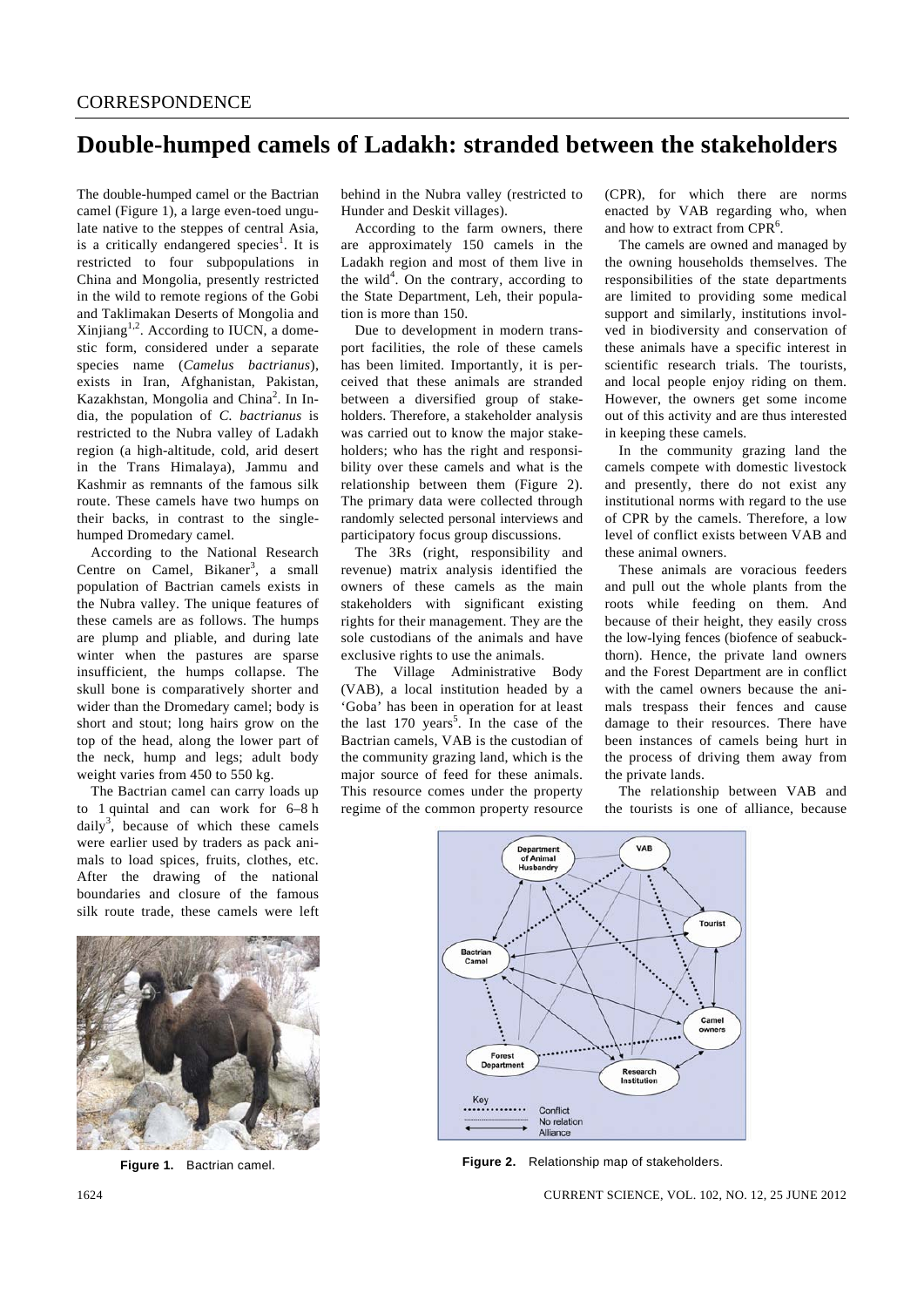## **Double-humped camels of Ladakh: stranded between the stakeholders**

The double-humped camel or the Bactrian camel (Figure 1), a large even-toed ungulate native to the steppes of central Asia, is a critically endangered species<sup>1</sup>. It is restricted to four subpopulations in China and Mongolia, presently restricted in the wild to remote regions of the Gobi and Taklimakan Deserts of Mongolia and Xinjiang<sup>1,2</sup>. According to IUCN, a domestic form, considered under a separate species name (*Camelus bactrianus*), exists in Iran, Afghanistan, Pakistan, Kazakhstan, Mongolia and China<sup>2</sup>. In India, the population of *C. bactrianus* is restricted to the Nubra valley of Ladakh region (a high-altitude, cold, arid desert in the Trans Himalaya), Jammu and Kashmir as remnants of the famous silk route. These camels have two humps on their backs, in contrast to the singlehumped Dromedary camel.

 According to the National Research Centre on Camel, Bikaner<sup>3</sup>, a small population of Bactrian camels exists in the Nubra valley. The unique features of these camels are as follows. The humps are plump and pliable, and during late winter when the pastures are sparse insufficient, the humps collapse. The skull bone is comparatively shorter and wider than the Dromedary camel; body is short and stout; long hairs grow on the top of the head, along the lower part of the neck, hump and legs; adult body weight varies from 450 to 550 kg.

 The Bactrian camel can carry loads up to 1 quintal and can work for 6–8 h daily<sup>3</sup>, because of which these camels were earlier used by traders as pack animals to load spices, fruits, clothes, etc. After the drawing of the national boundaries and closure of the famous silk route trade, these camels were left



**Figure 1.** Bactrian camel.

behind in the Nubra valley (restricted to Hunder and Deskit villages).

 According to the farm owners, there are approximately 150 camels in the Ladakh region and most of them live in the wild<sup>4</sup>. On the contrary, according to the State Department, Leh, their population is more than 150.

 Due to development in modern transport facilities, the role of these camels has been limited. Importantly, it is perceived that these animals are stranded between a diversified group of stakeholders. Therefore, a stakeholder analysis was carried out to know the major stakeholders; who has the right and responsibility over these camels and what is the relationship between them (Figure 2). The primary data were collected through randomly selected personal interviews and participatory focus group discussions.

 The 3Rs (right, responsibility and revenue) matrix analysis identified the owners of these camels as the main stakeholders with significant existing rights for their management. They are the sole custodians of the animals and have exclusive rights to use the animals.

 The Village Administrative Body (VAB), a local institution headed by a 'Goba' has been in operation for at least the last  $170 \text{ years}^5$ . In the case of the Bactrian camels, VAB is the custodian of the community grazing land, which is the major source of feed for these animals. This resource comes under the property regime of the common property resource (CPR), for which there are norms enacted by VAB regarding who, when and how to extract from CPR<sup>6</sup>.

 The camels are owned and managed by the owning households themselves. The responsibilities of the state departments are limited to providing some medical support and similarly, institutions involved in biodiversity and conservation of these animals have a specific interest in scientific research trials. The tourists, and local people enjoy riding on them. However, the owners get some income out of this activity and are thus interested in keeping these camels.

 In the community grazing land the camels compete with domestic livestock and presently, there do not exist any institutional norms with regard to the use of CPR by the camels. Therefore, a low level of conflict exists between VAB and these animal owners.

 These animals are voracious feeders and pull out the whole plants from the roots while feeding on them. And because of their height, they easily cross the low-lying fences (biofence of seabuckthorn). Hence, the private land owners and the Forest Department are in conflict with the camel owners because the animals trespass their fences and cause damage to their resources. There have been instances of camels being hurt in the process of driving them away from the private lands.

 The relationship between VAB and the tourists is one of alliance, because



**Figure 2.** Relationship map of stakeholders.